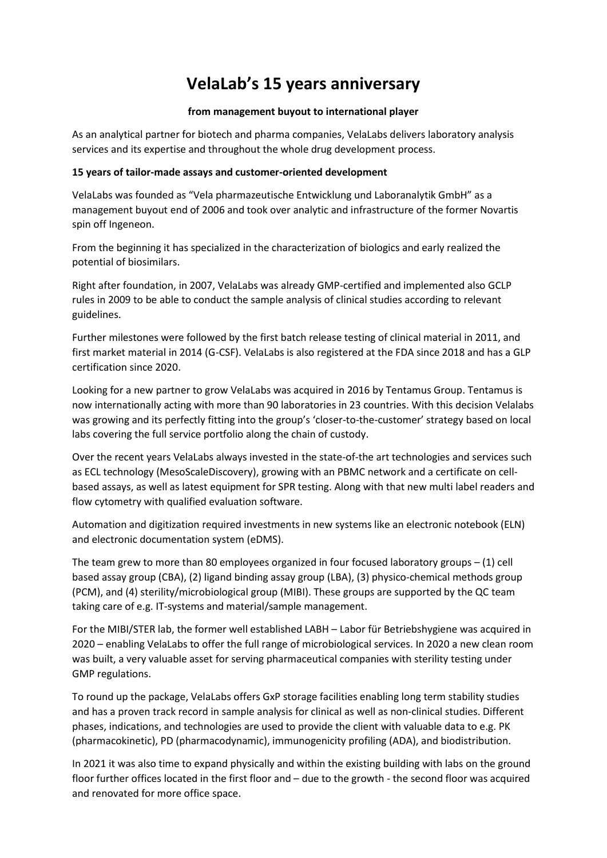# **VelaLab's 15 years anniversary**

## **from management buyout to international player**

As an analytical partner for biotech and pharma companies, VelaLabs delivers laboratory analysis services and its expertise and throughout the whole drug development process.

## **15 years of tailor-made assays and customer-oriented development**

VelaLabs was founded as "Vela pharmazeutische Entwicklung und Laboranalytik GmbH" as a management buyout end of 2006 and took over analytic and infrastructure of the former Novartis spin off Ingeneon.

From the beginning it has specialized in the characterization of biologics and early realized the potential of biosimilars.

Right after foundation, in 2007, VelaLabs was already GMP-certified and implemented also GCLP rules in 2009 to be able to conduct the sample analysis of clinical studies according to relevant guidelines.

Further milestones were followed by the first batch release testing of clinical material in 2011, and first market material in 2014 (G-CSF). VelaLabs is also registered at the FDA since 2018 and has a GLP certification since 2020.

Looking for a new partner to grow VelaLabs was acquired in 2016 by Tentamus Group. Tentamus is now internationally acting with more than 90 laboratories in 23 countries. With this decision Velalabs was growing and its perfectly fitting into the group's 'closer-to-the-customer' strategy based on local labs covering the full service portfolio along the chain of custody.

Over the recent years VelaLabs always invested in the state-of-the art technologies and services such as ECL technology (MesoScaleDiscovery), growing with an PBMC network and a certificate on cellbased assays, as well as latest equipment for SPR testing. Along with that new multi label readers and flow cytometry with qualified evaluation software.

Automation and digitization required investments in new systems like an electronic notebook (ELN) and electronic documentation system (eDMS).

The team grew to more than 80 employees organized in four focused laboratory groups  $-$  (1) cell based assay group (CBA), (2) ligand binding assay group (LBA), (3) physico-chemical methods group (PCM), and (4) sterility/microbiological group (MIBI). These groups are supported by the QC team taking care of e.g. IT-systems and material/sample management.

For the MIBI/STER lab, the former well established LABH – Labor für Betriebshygiene was acquired in 2020 – enabling VelaLabs to offer the full range of microbiological services. In 2020 a new clean room was built, a very valuable asset for serving pharmaceutical companies with sterility testing under GMP regulations.

To round up the package, VelaLabs offers GxP storage facilities enabling long term stability studies and has a proven track record in sample analysis for clinical as well as non-clinical studies. Different phases, indications, and technologies are used to provide the client with valuable data to e.g. PK (pharmacokinetic), PD (pharmacodynamic), immunogenicity profiling (ADA), and biodistribution.

In 2021 it was also time to expand physically and within the existing building with labs on the ground floor further offices located in the first floor and – due to the growth - the second floor was acquired and renovated for more office space.